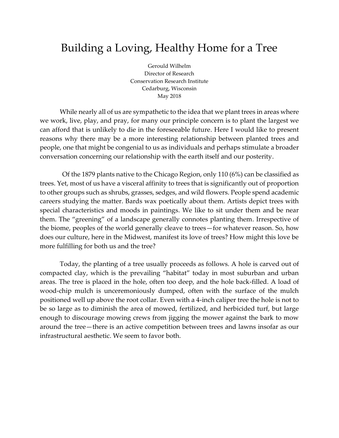## Building a Loving, Healthy Home for a Tree

Gerould Wilhelm Director of Research Conservation Research Institute Cedarburg, Wisconsin May 2018

While nearly all of us are sympathetic to the idea that we plant trees in areas where we work, live, play, and pray, for many our principle concern is to plant the largest we can afford that is unlikely to die in the foreseeable future. Here I would like to present reasons why there may be a more interesting relationship between planted trees and people, one that might be congenial to us as individuals and perhaps stimulate a broader conversation concerning our relationship with the earth itself and our posterity.

Of the 1879 plants native to the Chicago Region, only 110 (6%) can be classified as trees. Yet, most of us have a visceral affinity to trees that is significantly out of proportion to other groups such as shrubs, grasses, sedges, and wild flowers. People spend academic careers studying the matter. Bards wax poetically about them. Artists depict trees with special characteristics and moods in paintings. We like to sit under them and be near them. The "greening" of a landscape generally connotes planting them. Irrespective of the biome, peoples of the world generally cleave to trees—for whatever reason. So, how does our culture, here in the Midwest, manifest its love of trees? How might this love be more fulfilling for both us and the tree?

Today, the planting of a tree usually proceeds as follows. A hole is carved out of compacted clay, which is the prevailing "habitat" today in most suburban and urban areas. The tree is placed in the hole, often too deep, and the hole back-filled. A load of wood-chip mulch is unceremoniously dumped, often with the surface of the mulch positioned well up above the root collar. Even with a 4-inch caliper tree the hole is not to be so large as to diminish the area of mowed, fertilized, and herbicided turf, but large enough to discourage mowing crews from jigging the mower against the bark to mow around the tree—there is an active competition between trees and lawns insofar as our infrastructural aesthetic. We seem to favor both.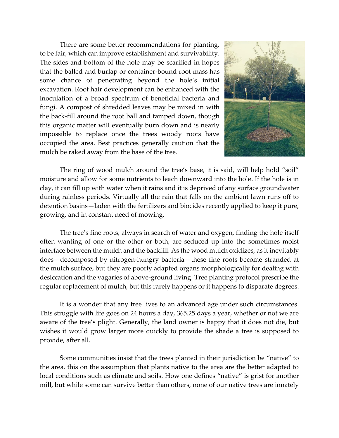There are some better recommendations for planting, to be fair, which can improve establishment and survivability. The sides and bottom of the hole may be scarified in hopes that the balled and burlap or container-bound root mass has some chance of penetrating beyond the hole's initial excavation. Root hair development can be enhanced with the inoculation of a broad spectrum of beneficial bacteria and fungi. A compost of shredded leaves may be mixed in with the back-fill around the root ball and tamped down, though this organic matter will eventually burn down and is nearly impossible to replace once the trees woody roots have occupied the area. Best practices generally caution that the mulch be raked away from the base of the tree.



The ring of wood mulch around the tree's base, it is said, will help hold "soil" moisture and allow for some nutrients to leach downward into the hole. If the hole is in clay, it can fill up with water when it rains and it is deprived of any surface groundwater during rainless periods. Virtually all the rain that falls on the ambient lawn runs off to detention basins—laden with the fertilizers and biocides recently applied to keep it pure, growing, and in constant need of mowing.

The tree's fine roots, always in search of water and oxygen, finding the hole itself often wanting of one or the other or both, are seduced up into the sometimes moist interface between the mulch and the backfill. As the wood mulch oxidizes, as it inevitably does—decomposed by nitrogen-hungry bacteria—these fine roots become stranded at the mulch surface, but they are poorly adapted organs morphologically for dealing with desiccation and the vagaries of above-ground living. Tree planting protocol prescribe the regular replacement of mulch, but this rarely happens or it happens to disparate degrees.

It is a wonder that any tree lives to an advanced age under such circumstances. This struggle with life goes on 24 hours a day, 365.25 days a year, whether or not we are aware of the tree's plight. Generally, the land owner is happy that it does not die, but wishes it would grow larger more quickly to provide the shade a tree is supposed to provide, after all.

Some communities insist that the trees planted in their jurisdiction be "native" to the area, this on the assumption that plants native to the area are the better adapted to local conditions such as climate and soils. How one defines "native" is grist for another mill, but while some can survive better than others, none of our native trees are innately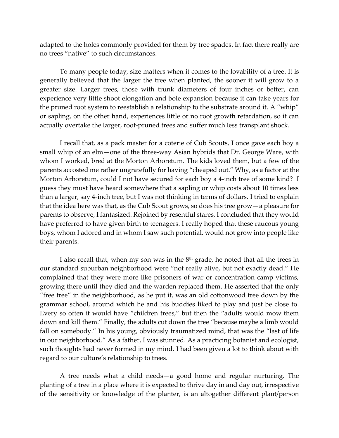adapted to the holes commonly provided for them by tree spades. In fact there really are no trees "native" to such circumstances.

To many people today, size matters when it comes to the lovability of a tree. It is generally believed that the larger the tree when planted, the sooner it will grow to a greater size. Larger trees, those with trunk diameters of four inches or better, can experience very little shoot elongation and bole expansion because it can take years for the pruned root system to reestablish a relationship to the substrate around it. A "whip" or sapling, on the other hand, experiences little or no root growth retardation, so it can actually overtake the larger, root-pruned trees and suffer much less transplant shock.

I recall that, as a pack master for a coterie of Cub Scouts, I once gave each boy a small whip of an elm—one of the three-way Asian hybrids that Dr. George Ware, with whom I worked, bred at the Morton Arboretum. The kids loved them, but a few of the parents accosted me rather ungratefully for having "cheaped out." Why, as a factor at the Morton Arboretum, could I not have secured for each boy a 4-inch tree of some kind? I guess they must have heard somewhere that a sapling or whip costs about 10 times less than a larger, say 4-inch tree, but I was not thinking in terms of dollars. I tried to explain that the idea here was that, as the Cub Scout grows, so does his tree grow—a pleasure for parents to observe, I fantasized. Rejoined by resentful stares, I concluded that they would have preferred to have given birth to teenagers. I really hoped that these raucous young boys, whom I adored and in whom I saw such potential, would not grow into people like their parents.

I also recall that, when my son was in the  $8<sup>th</sup>$  grade, he noted that all the trees in our standard suburban neighborhood were "not really alive, but not exactly dead." He complained that they were more like prisoners of war or concentration camp victims, growing there until they died and the warden replaced them. He asserted that the only "free tree" in the neighborhood, as he put it, was an old cottonwood tree down by the grammar school, around which he and his buddies liked to play and just be close to. Every so often it would have "children trees," but then the "adults would mow them down and kill them." Finally, the adults cut down the tree "because maybe a limb would fall on somebody." In his young, obviously traumatized mind, that was the "last of life in our neighborhood." As a father, I was stunned. As a practicing botanist and ecologist, such thoughts had never formed in my mind. I had been given a lot to think about with regard to our culture's relationship to trees.

A tree needs what a child needs—a good home and regular nurturing. The planting of a tree in a place where it is expected to thrive day in and day out, irrespective of the sensitivity or knowledge of the planter, is an altogether different plant/person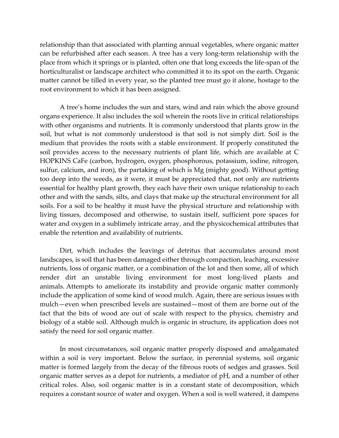relationship than that associated with planting annual vegetables, where organic matter can be refurbished after each season. A tree has a very long-term relationship with the place from which it springs or is planted, often one that long exceeds the life-span of the horticulturalist or landscape architect who committed it to its spot on the earth. Organic matter cannot be tilled in every year, so the planted tree must go it alone, hostage to the root environment to which it has been assigned.

A tree's home includes the sun and stars, wind and rain which the above ground organs experience. It also includes the soil wherein the roots live in critical relationships with other organisms and nutrients. It is commonly understood that plants grow in the soil, but what is not commonly understood is that soil is not simply dirt. Soil is the medium that provides the roots with a stable environment. If properly constituted the soil provides access to the necessary nutrients of plant life, which are available at C HOPKINS CaFe (carbon, hydrogen, oxygen, phosphorous, potassium, iodine, nitrogen, sulfur, calcium, and iron), the partaking of which is Mg (mighty good). Without getting too deep into the weeds, as it were, it must be appreciated that, not only are nutrients essential for healthy plant growth, they each have their own unique relationship to each other and with the sands, silts, and clays that make up the structural environment for all soils. For a soil to be healthy it must have the physical structure and relationship with living tissues, decomposed and otherwise, to sustain itself, sufficient pore spaces for water and oxygen in a sublimely intricate array, and the physicochemical attributes that enable the retention and availability of nutrients.

Dirt, which includes the leavings of detritus that accumulates around most landscapes, is soil that has been damaged either through compaction, leaching, excessive nutrients, loss of organic matter, or a combination of the lot and then some, all of which render dirt an unstable living environment for most long-lived plants and animals. Attempts to ameliorate its instability and provide organic matter commonly include the application of some kind of wood mulch. Again, there are serious issues with mulch—even when prescribed levels are sustained—most of them are borne out of the fact that the bits of wood are out of scale with respect to the physics, chemistry and biology of a stable soil. Although mulch is organic in structure, its application does not satisfy the need for soil organic matter.

In most circumstances, soil organic matter properly disposed and amalgamated within a soil is very important. Below the surface, in perennial systems, soil organic matter is formed largely from the decay of the fibrous roots of sedges and grasses. Soil organic matter serves as a depot for nutrients, a mediator of pH, and a number of other critical roles. Also, soil organic matter is in a constant state of decomposition, which requires a constant source of water and oxygen. When a soil is well watered, it dampens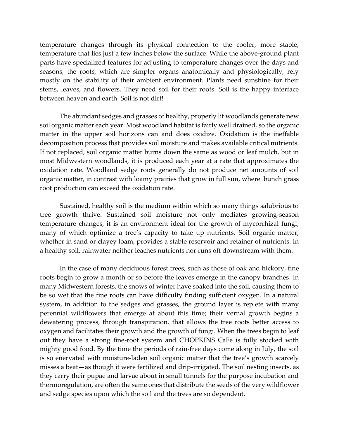temperature changes through its physical connection to the cooler, more stable, temperature that lies just a few inches below the surface. While the above-ground plant parts have specialized features for adjusting to temperature changes over the days and seasons, the roots, which are simpler organs anatomically and physiologically, rely mostly on the stability of their ambient environment. Plants need sunshine for their stems, leaves, and flowers. They need soil for their roots. Soil is the happy interface between heaven and earth. Soil is not dirt!

The abundant sedges and grasses of healthy, properly lit woodlands generate new soil organic matter each year. Most woodland habitat is fairly well drained, so the organic matter in the upper soil horizons can and does oxidize. Oxidation is the ineffable decomposition process that provides soil moisture and makes available critical nutrients. If not replaced, soil organic matter burns down the same as wood or leaf mulch, but in most Midwestern woodlands, it is produced each year at a rate that approximates the oxidation rate. Woodland sedge roots generally do not produce net amounts of soil organic matter, in contrast with loamy prairies that grow in full sun, where bunch grass root production can exceed the oxidation rate.

Sustained, healthy soil is the medium within which so many things salubrious to tree growth thrive. Sustained soil moisture not only mediates growing-season temperature changes, it is an environment ideal for the growth of mycorrhizal fungi, many of which optimize a tree's capacity to take up nutrients. Soil organic matter, whether in sand or clayey loam, provides a stable reservoir and retainer of nutrients. In a healthy soil, rainwater neither leaches nutrients nor runs off downstream with them.

In the case of many deciduous forest trees, such as those of oak and hickory, fine roots begin to grow a month or so before the leaves emerge in the canopy branches. In many Midwestern forests, the snows of winter have soaked into the soil, causing them to be so wet that the fine roots can have difficulty finding sufficient oxygen. In a natural system, in addition to the sedges and grasses, the ground layer is replete with many perennial wildflowers that emerge at about this time; their vernal growth begins a dewatering process, through transpiration, that allows the tree roots better access to oxygen and facilitates their growth and the growth of fungi. When the trees begin to leaf out they have a strong fine-root system and CHOPKINS CaFe is fully stocked with mighty good food. By the time the periods of rain-free days come along in July, the soil is so enervated with moisture-laden soil organic matter that the tree's growth scarcely misses a beat—as though it were fertilized and drip-irrigated. The soil nesting insects, as they carry their pupae and larvae about in small tunnels for the purpose incubation and thermoregulation, are often the same ones that distribute the seeds of the very wildflower and sedge species upon which the soil and the trees are so dependent.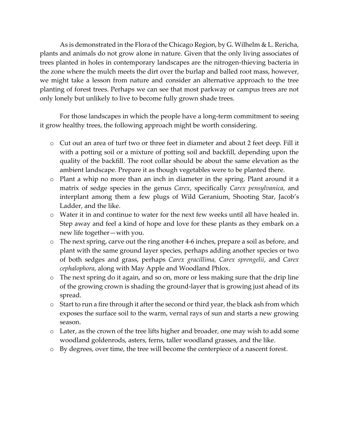As is demonstrated in the Flora of the Chicago Region, by G. Wilhelm & L. Rericha, plants and animals do not grow alone in nature. Given that the only living associates of trees planted in holes in contemporary landscapes are the nitrogen-thieving bacteria in the zone where the mulch meets the dirt over the burlap and balled root mass, however, we might take a lesson from nature and consider an alternative approach to the tree planting of forest trees. Perhaps we can see that most parkway or campus trees are not only lonely but unlikely to live to become fully grown shade trees.

For those landscapes in which the people have a long-term commitment to seeing it grow healthy trees, the following approach might be worth considering.

- o Cut out an area of turf two or three feet in diameter and about 2 feet deep. Fill it with a potting soil or a mixture of potting soil and backfill, depending upon the quality of the backfill. The root collar should be about the same elevation as the ambient landscape. Prepare it as though vegetables were to be planted there.
- o Plant a whip no more than an inch in diameter in the spring. Plant around it a matrix of sedge species in the genus *Carex*, specifically *Carex pensylvanica*, and interplant among them a few plugs of Wild Geranium, Shooting Star, Jacob's Ladder, and the like.
- o Water it in and continue to water for the next few weeks until all have healed in. Step away and feel a kind of hope and love for these plants as they embark on a new life together—with you.
- o The next spring, carve out the ring another 4-6 inches, prepare a soil as before, and plant with the same ground layer species, perhaps adding another species or two of both sedges and grass, perhaps *Carex gracillima, Carex sprengelii*, and *Carex cephalophora*, along with May Apple and Woodland Phlox.
- o The next spring do it again, and so on, more or less making sure that the drip line of the growing crown is shading the ground-layer that is growing just ahead of its spread.
- o Start to run a fire through it after the second or third year, the black ash from which exposes the surface soil to the warm, vernal rays of sun and starts a new growing season.
- o Later, as the crown of the tree lifts higher and broader, one may wish to add some woodland goldenrods, asters, ferns, taller woodland grasses, and the like.
- o By degrees, over time, the tree will become the centerpiece of a nascent forest.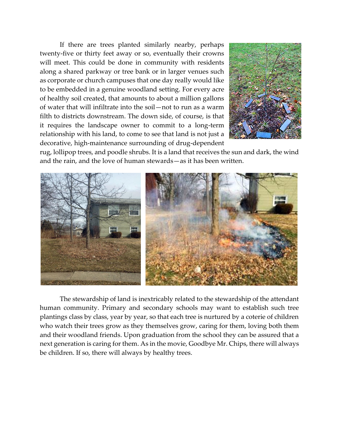If there are trees planted similarly nearby, perhaps twenty-five or thirty feet away or so, eventually their crowns will meet. This could be done in community with residents along a shared parkway or tree bank or in larger venues such as corporate or church campuses that one day really would like to be embedded in a genuine woodland setting. For every acre of healthy soil created, that amounts to about a million gallons of water that will infiltrate into the soil—not to run as a warm filth to districts downstream. The down side, of course, is that it requires the landscape owner to commit to a long-term relationship with his land, to come to see that land is not just a decorative, high-maintenance surrounding of drug-dependent



rug, lollipop trees, and poodle shrubs. It is a land that receives the sun and dark, the wind and the rain, and the love of human stewards—as it has been written.



The stewardship of land is inextricably related to the stewardship of the attendant human community. Primary and secondary schools may want to establish such tree plantings class by class, year by year, so that each tree is nurtured by a coterie of children who watch their trees grow as they themselves grow, caring for them, loving both them and their woodland friends. Upon graduation from the school they can be assured that a next generation is caring for them. As in the movie, Goodbye Mr. Chips, there will always be children. If so, there will always by healthy trees.